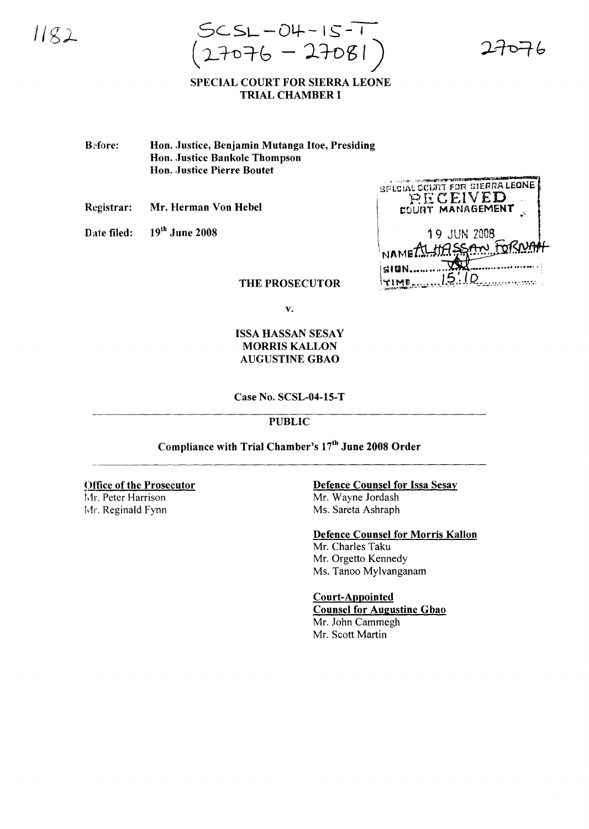$1182$ 

 $SCSL - OH - IS - 1$  $(27076 - 27081)$ 

### SPECIAL COURT FOR SIERRA LEONE TRIAL CHAMBER I

**Before:** Hon. Justice, Benjamin Mutanga Hoe, Presiding Hon. Justice Bankole Thompson Hon. Justice Pierre Boutet

Registrar: Mr. Herman Von Hebel

Date filed: 19<sup>th</sup> June 2008

| <b>SPECIAL COURT FOR SIERRA LEONE</b><br>RECEIVED<br>COURT MANAGEMENT |  |
|-----------------------------------------------------------------------|--|
| 19 JUN 2008<br>NAMERIHASSAN FORNAH                                    |  |
| cian                                                                  |  |

THE PROSECUTOR

v.

# ISSA HASSAN SESAY MORRIS KALLON AUGUSTINE GBAO

#### Case No. SCSL-04-15-T

## PUBLIC

Compliance with Trial Chamber's 17<sup>th</sup> June 2008 Order

#### Office of the Prosecutor

Mr. Peter Harrison Mr. Reginald Fynn

# Defence Counsel for Issa Sesay

Mr. Wayne Jordash Ms. Sareta Ashraph

# Defence Counsel for Morris Kallon

Mr. Charles Taku Mr. Orgetto Kennedy Ms. Tanoo Mylvanganam

#### Court-Appointed

Counsel for Augustine Gbao Mr. John Cammegh Mr. Scott Martin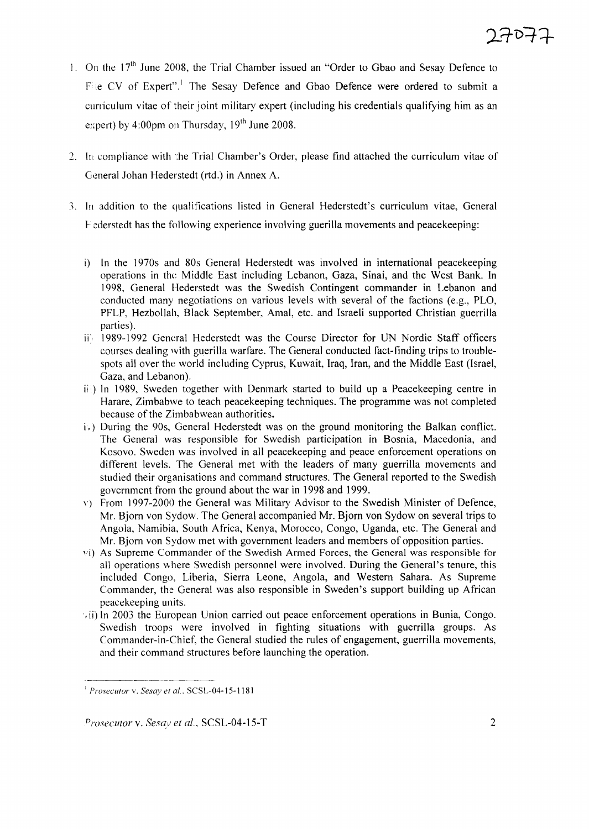- 1. On the  $17<sup>th</sup>$  June 2008, the Trial Chamber issued an "Order to Gbao and Sesay Defence to Fije CV of Expert".<sup>1</sup> The Sesay Defence and Gbao Defence were ordered to submit a curriculum vitae of their joint military expert (including his credentials qualifying him as an expert) by 4:00pm on Thursday,  $19<sup>th</sup>$  June 2008.
- 2. In compliance with the Trial Chamber's Order, please find attached the curriculum vitae of General Johan Hederstedt (rtd.) in Annex A.
- 3, In addition to the qualifications listed in General Hederstedt's curriculum vitae, General 1-- ederstedt has the following experience involving guerilla movements and peacekeeping:
	- i) In the 1970s and 80s General Hederstedt was involved in international peacekeeping operations in the Middle East including Lebanon, Gaza, Sinai, and the West Bank. In 1998, General Hederstedt was the Swedish Contingent commander in Lebanon and conducted many negotiations on various levels with several of the factions (e.g., PLO, PFLP, Hezbollah, Black September, Amal, etc. and Israeli supported Christian guerrilla parties).
	- ij', 1989-1992 General Hederstedt was the Course Director for UN Nordic Staff officers courses dealing with guerilla warfare. The General conducted fact-finding trips to troublespots all over the world including Cyprus, Kuwait, Iraq, Iran, and the Middle East (Israel, Gaza, and Lebanon).
	- iii) In 1989, Sweden together with Denmark started to build up a Peacekeeping centre in Harare, Zimbabwe to teach peacekeeping techniques. The programme was not completed because of the Zimbabwean authorities.
	- i.) During the 90s, General Hederstedt was on the ground monitoring the Balkan conflict. The General was responsible for Swedish participation in Bosnia, Macedonia, and Kosovo. Sweden was involved in all peacekeeping and peace enforcement operations on different levels. The General met with the leaders of many guerrilla movements and studied their organisations and command structures. The General reported to the Swedish government from the ground about the war in 1998 and 1999.
	- $\langle \rangle$ ) From 1997-2000 the General was Military Advisor to the Swedish Minister of Defence, Mr. Bjorn von Sydow. The General accompanied Mr. Bjorn von Sydow on several trips to Angola, Namibia, South Africa, Kenya, Morocco, Congo, Uganda, etc. The General and Mr. Bjorn von Sydow met with government leaders and members of opposition parties.
	- vi) As Supreme Commander of the Swedish Armed Forces, the General was responsible for all operations where Swedish personnel were involved. During the General's tenure, this included Congo, Liberia, Sierra Leone, Angola, and Western Sahara. As Supreme Commander, the General was also responsible in Sweden's support building up African peacekeeping units.
	- $\cdot$ ii) In 2003 the European Union carried out peace enforcement operations in Bunia, Congo. Swedish troops were involved in fighting situations with guerrilla groups. As Commander-in-Chief, the General studied the rules of engagement, guerrilla movements, and their command structures before launching the operation.

<sup>I</sup> *Prosecutor* y, *Sesay et al.* SCSL-04-15-1181

*Prosecutor* v. *Sesay et al.*, SCSL-04-15-T 2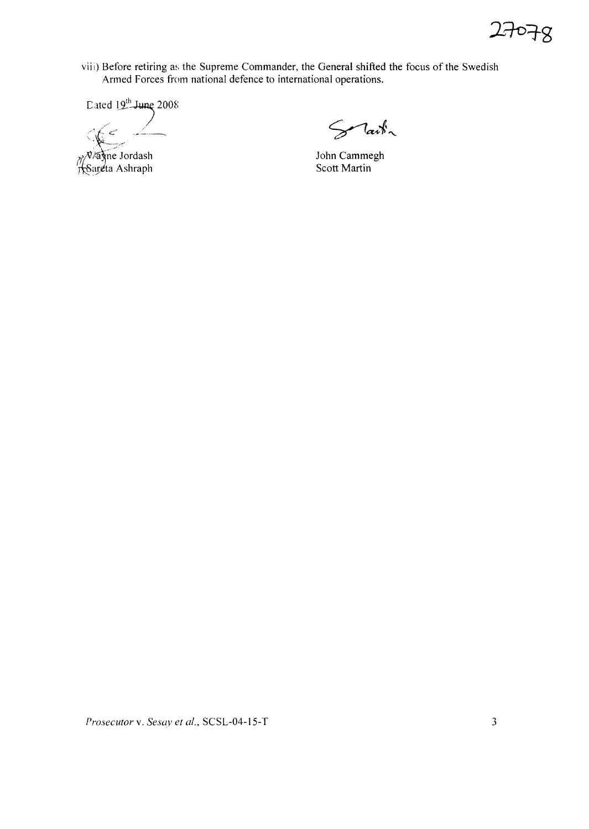

viii) Before retiring as the Supreme Commander, the General shifted the focus of the Swedish Armed Forces from national defence to international operations.

Dated 19th June 2008

 $C_1$ 

Nayne Jordash

Solait ~

John Cammegh Scott Martin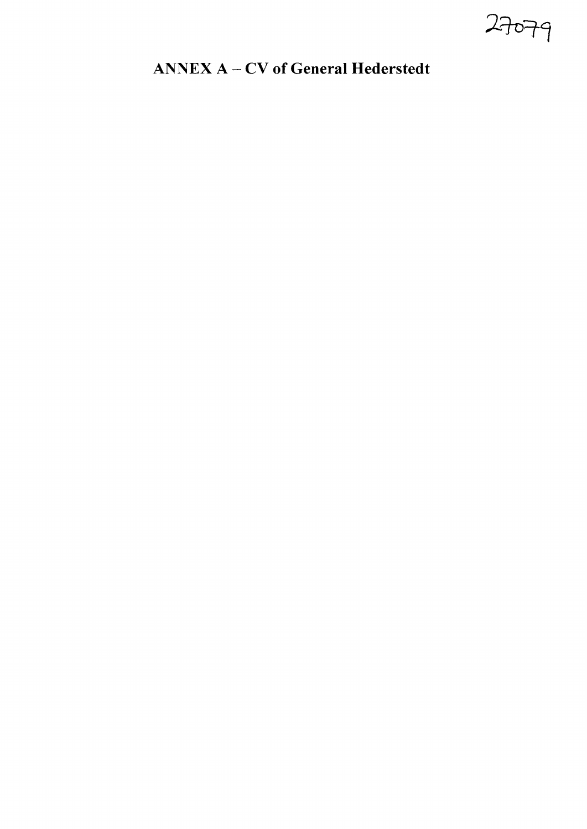27079

# A:NNEX A - CV **of General Hederstedt**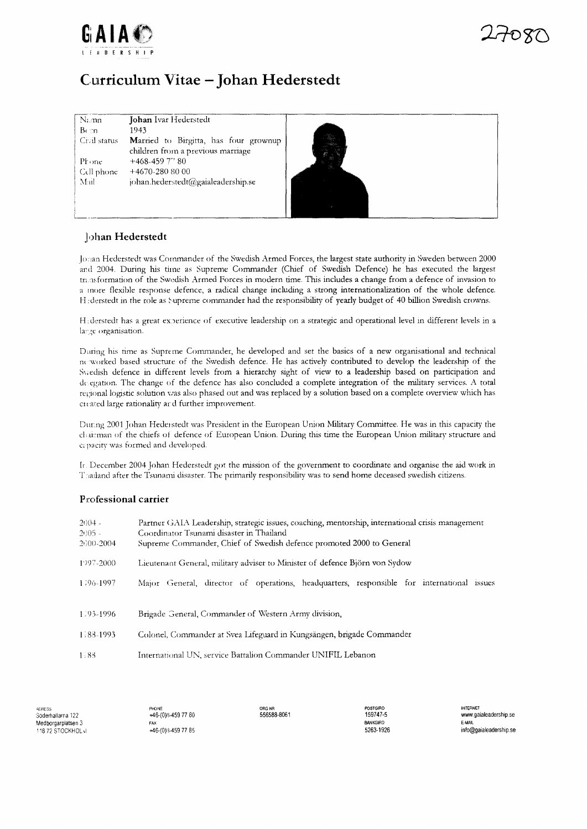



# Curriculum Vitae - Johan Hederstedt

| Namn               | Johan Ivar Hederstedt                                                             |
|--------------------|-----------------------------------------------------------------------------------|
| $B \in \mathbb{R}$ | 1943                                                                              |
| Crail status       | <b>Married</b> to Birgitta, has four grownup<br>children from a previous marriage |
| Phone              | $+468-4597$ " 80                                                                  |
| Cell phone         | $+4670-2808000$                                                                   |
| Mail               | johan.hederstedt@gaialeadership.se                                                |
|                    |                                                                                   |



#### Johan Hederstedt

Jonan Hederstedt was Commander of the Swedish Armed Forces, the largest state authority in Sweden between 2000 and 2004. During his time as Supreme Commander (Chief of Swedish Defence) he has executed the largest transformation of the Swedish Armed Forces in modern time. This includes a change from a defence of invasion to a more flexible response defence, a radical change including a strong internationalization of the whole defence. He derstedt in the role as Supreme commander had the responsibility of yearly budget of 40 billion Swedish crowns.

He derstedt has a great experience of executive leadership on a strategic and operational level in different levels in a large organisation.

During his time as Supreme Commander, he developed and set the basics of a new organisational and technical ne worked based structure of the Swedish defence. He has actively contributed to develop the leadership of the Swedish defence in different levels from a hierarchy sight of view to a leadership based on participation and delegation. The change of the defence has also concluded a complete integration of the military services. A total regional logistic solution was also phased out and was replaced by a solution based on a complete overview which has created large rationality and further improvement.

During 2001 Johan Hederstedt was President in the European Union Military Committee. He was in this capacity the chairman of the chiefs of defence of European Union. During this time the European Union military structure and capacity was formed and developed.

Ir. December 2004 Johan Hederstedt got the mission of the government to coordinate and organise the aid work in Thailand after the Tsunami disaster. The primarily responsibility was to send home deceased swedish citizens.

#### Professional carrier

| $2004 -$<br>$2005 -$ | Partner GAIA Leadership, strategic issues, coaching, mentorship, international crisis management<br>Coordinator Tsunami disaster in Thailand |
|----------------------|----------------------------------------------------------------------------------------------------------------------------------------------|
| 2000-2004            | Supreme Commander, Chief of Swedish defence promoted 2000 to General                                                                         |
| 1997-2000            | Lieutenant General, military adviser to Minister of defence Björn von Sydow                                                                  |
| 1296-1997            | Major General, director of operations, headquarters, responsible for international issues                                                    |
| 1.93-1996            | Brigade General, Commander of Western Army division,                                                                                         |
| 1.88-1993            | Colonel, Commander at Svea Lifeguard in Kungsängen, brigade Commander                                                                        |
| 1.88                 | International UN, service Battalion Commander UNIFIL Lebanon                                                                                 |

ADRESS Söderhallarna 122 Medborgarplatsen 3 118 72 STOCKHOL vl

+46-(0)8-459 77 80 +46-(0)8-459 77 85 556588-8061

159747-5 **BANKGIRO** 5263-1926

**INTERNET** www.gaialeadership.se E-MAIL info@gaialeadership.se